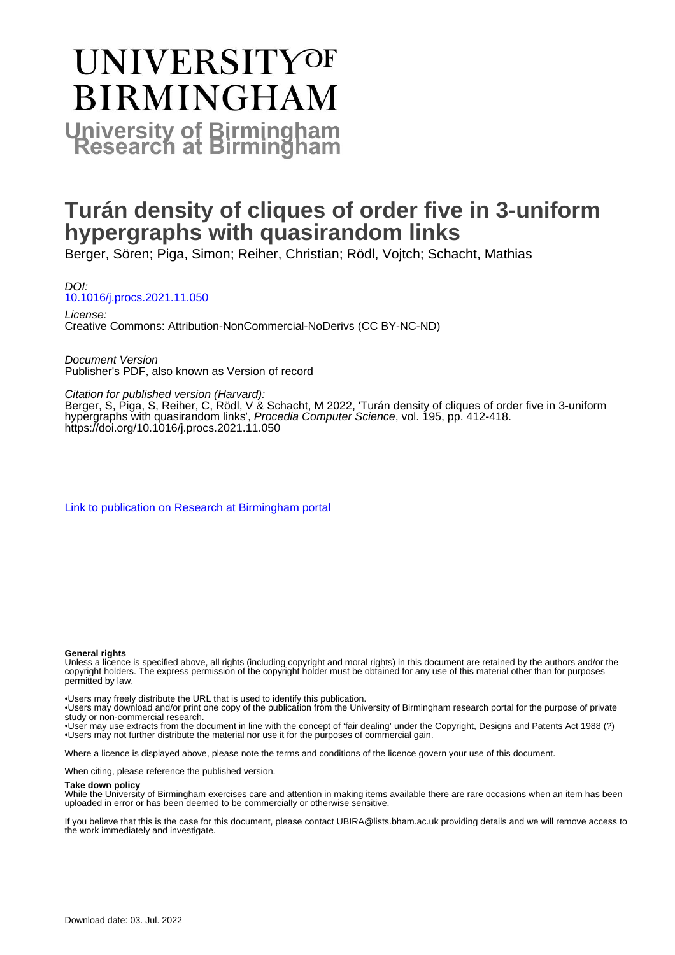# **UNIVERSITYOF BIRMINGHAM University of Birmingham**

# **Turán density of cliques of order five in 3-uniform hypergraphs with quasirandom links**

Berger, Sören; Piga, Simon; Reiher, Christian; Rödl, Vojtch; Schacht, Mathias

DOI: [10.1016/j.procs.2021.11.050](https://doi.org/10.1016/j.procs.2021.11.050)

License: Creative Commons: Attribution-NonCommercial-NoDerivs (CC BY-NC-ND)

Document Version Publisher's PDF, also known as Version of record

#### Citation for published version (Harvard):

Berger, S, Piga, S, Reiher, C, Rödl, V & Schacht, M 2022, 'Turán density of cliques of order five in 3-uniform hypergraphs with quasirandom links', Procedia Computer Science, vol. 195, pp. 412-418. <https://doi.org/10.1016/j.procs.2021.11.050>

[Link to publication on Research at Birmingham portal](https://birmingham.elsevierpure.com/en/publications/00b2455a-da30-4d2a-abdb-8e2c9ccbcd21)

#### **General rights**

Unless a licence is specified above, all rights (including copyright and moral rights) in this document are retained by the authors and/or the copyright holders. The express permission of the copyright holder must be obtained for any use of this material other than for purposes permitted by law.

• Users may freely distribute the URL that is used to identify this publication.

• Users may download and/or print one copy of the publication from the University of Birmingham research portal for the purpose of private study or non-commercial research.

• User may use extracts from the document in line with the concept of 'fair dealing' under the Copyright, Designs and Patents Act 1988 (?) • Users may not further distribute the material nor use it for the purposes of commercial gain.

Where a licence is displayed above, please note the terms and conditions of the licence govern your use of this document.

When citing, please reference the published version.

#### **Take down policy**

While the University of Birmingham exercises care and attention in making items available there are rare occasions when an item has been uploaded in error or has been deemed to be commercially or otherwise sensitive.

If you believe that this is the case for this document, please contact UBIRA@lists.bham.ac.uk providing details and we will remove access to the work immediately and investigate.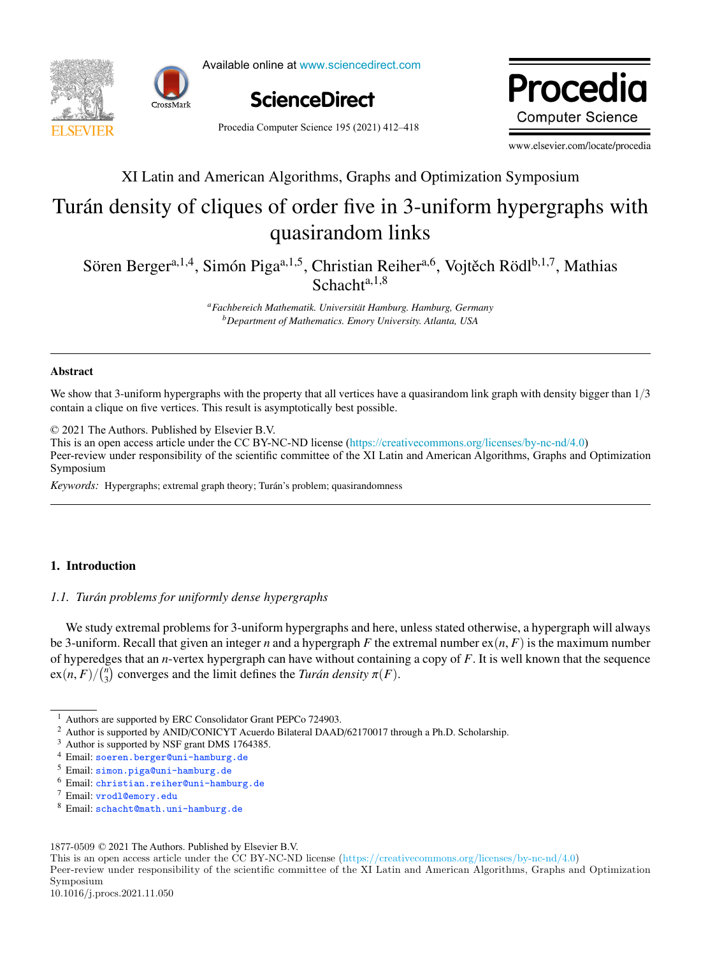



Available online at www.sciencedirect.com Available online at www.sciencedirect.com



Proced **Computer Science** 

Procedia Computer Science 195 (2021) 412-418

www.elsevier.com/locate/procedia

### The main and rinderical regionalisty, order five operations symposium XI Latin and American Algorithms, Graphs and Optimization Symposium

## Turán density of cliques of order five in 3-uniform hypergraphs with  $\frac{1}{1}$ , Simon Piga  $\frac{1}{1}$ , Simon Piga  $\frac{1}{1}$ , Christian Reihera,6, Vojtech R  $\frac{1}{1}$ , Mathias Piga  $\frac{1}{1}$ quasirandom links

Sören Berger<sup>a,1,4</sup>, Simón Piga<sup>a,1,5</sup>, Christian Reiher<sup>a,6</sup>, Vojtěch Rödl<sup>b,1,7</sup>, Mathias *aFachbereich Mathematik. Universit ¨at Hamburg. Hamburg, Germany*  $\mathsf{Sch}_3$ chta,  $1,8$ 

> *bDepartment of Mathematics. Emory University. Atlanta, USA aFachbereich Mathematik. Universit ¨at Hamburg. Hamburg, Germany bDepartment of Mathematics. Emory University. Atlanta, USA*

#### Abstract  $\mathcal{L}_{\text{MUSM}}$  and  $\mathcal{L}_{\text{MUSM}}$  and  $\mathcal{L}_{\text{MUSM}}$  and  $\mathcal{L}_{\text{MUSM}}$  and  $\mathcal{L}_{\text{MUSM}}$ Abstract

We show that 3-uniform hypergraphs with the property that all vertices have a quasirandom link graph with density bigger than  $1/3$ contain a clique on five vertices. This result is asymptotically best possible.

© 2021 The Authors. Published by Elsevier B.V. © 2021 The Authors. Published by Elsevier B.V.

C 2021 The Authors. Published by Elsevier B.V.<br>This is an open access article under the CC BY-NC-ND license (https://creativecommons.org/licenses/by-nc-nd/4.0) Peer-review under responsibility of the scientific committee of the XI Latin and American Algorithms, Graphs and Optimization Symposium Symposium.  $\text{Symmosum}$ 

*Keywords*: Hypergraphs; extremal graph theory; Turán's problem; quasirandomness *Keywords:* Hypergraphs; extremal graph theory; Turan's problem; quasirandomness ´

#### 1. Introduction

#### *1.1. Tur ´an problems for uniformly dense hypergraphs*

We study extremal problems for 3-uniform hypergraphs and here, unless stated otherwise, a hypergraph will always be 3-uniform. Recall that given an integer *n* and a hypergraph *F* the extremal number  $ex(n, F)$  is the maximum number be 3-uniform. Recall that given an integer *n* and a hypergraph *F* the extremal number  $ex(n, F)$  is the maximum number<br>of hyperedges that an *n*-vertex hypergraph can have without containing a copy of *F*. It is well known  $\exp(n, F)/\binom{n}{3}$  converges and the limit defines the *Turán density*  $\pi(F)$ . exp*n*, *<sup>F</sup>*q{`*<sup>n</sup>* ˘

- $^5$  Email: simon.piga@uni-hamburg.de
- $\frac{6}{7}$  Email: christian.reiher@uni-hamburg.de
- $\frac{7}{8}$  Email: vrodl@emory.edu

This is an open access article under the CC BY-NC-ND license (https://creativecommons.org/licenses/by-nc-nd/4.0)

Peer-review under responsibility of the scientific committee of the XI Latin and American Algorithms, Graphs and Optimization Symposium

Authors are supported by ERC Consolidator Grant PEPCo 724903.

<sup>&</sup>lt;sup>2</sup> Author is supported by ANID/CONICYT Acuerdo Bilateral DAAD/62170017 through a Ph.D. Scholarship.

 $\frac{3}{2}$  Author is supported by NSF grant DMS 1764385.

 $\frac{4}{5}$  Email: soeren.berger@uni-hamburg.de

 $8$  Email: schacht@math.uni-hamburg.de

<sup>1877-0509</sup> © 2021 The Authors. Published by Elsevier B.V.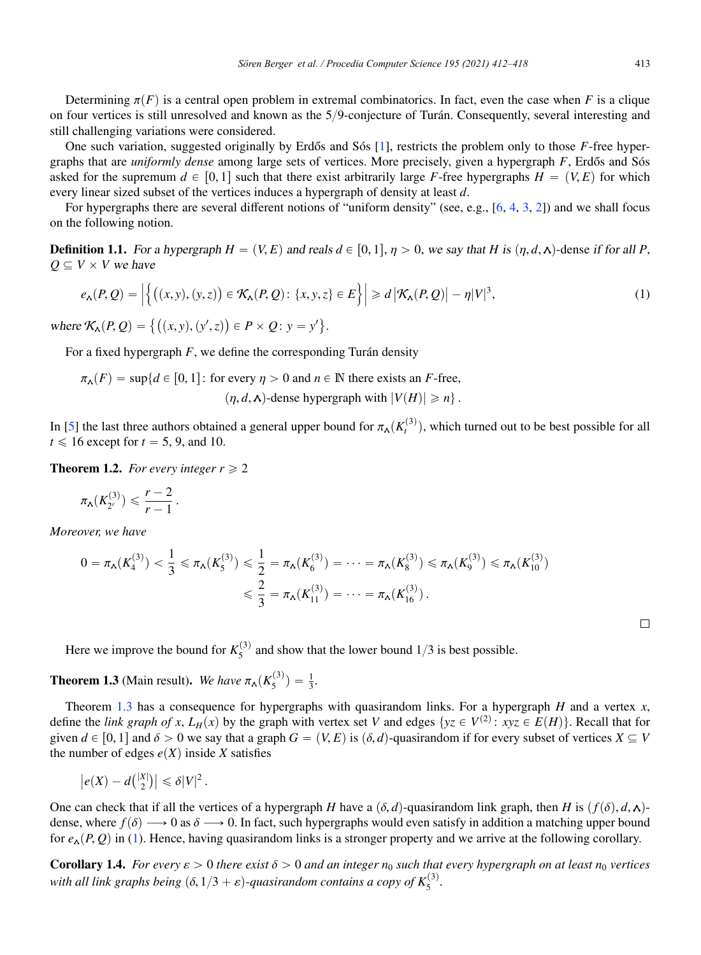Determining  $\pi(F)$  is a central open problem in extremal combinatorics. In fact, even the case when *F* is a clique on four vertices is still unresolved and known as the  $5/9$ -conjecture of Turán. Consequently, several interesting and still challenging variations were considered.

One such variation, suggested originally by Erdős and Sós [1], restricts the problem only to those *F*-free hypergraphs that are *uniformly dense* among large sets of vertices. More precisely, given a hypergraph  $F$ , Erdős and Sós asked for the supremum  $d \in [0, 1]$  such that there exist arbitrarily large *F*-free hypergraphs  $H = (V, E)$  for which every linear sized subset of the vertices induces a hypergraph of density at least *d*.

For hypergraphs there are several different notions of "uniform density" (see, e.g., [6, 4, 3, 2]) and we shall focus on the following notion.

**Definition 1.1.** For a hypergraph  $H = (V, E)$  and reals  $d \in [0, 1], \eta > 0$ , we say that H is  $(\eta, d, \lambda)$ -dense if for all P,  $Q \subseteq V \times V$  *we have* 

$$
e_{\mathbf{\Lambda}}(P,Q) = \left| \left\{ \left( (x,y), (y,z) \right) \in \mathcal{K}_{\mathbf{\Lambda}}(P,Q) \colon \{x,y,z\} \in E \right\} \right| \geq d \left| \mathcal{K}_{\mathbf{\Lambda}}(P,Q) \right| - \eta |V|^3, \tag{1}
$$

where  $\mathcal{K}_{\mathbf{A}}(P, Q) = \{ ((x, y), (y', z)) \in P \times Q : y = y' \}.$ 

For a fixed hypergraph  $F$ , we define the corresponding Turán density

$$
\pi_{\mathbf{\Lambda}}(F) = \sup \{ d \in [0,1]: \text{ for every } \eta > 0 \text{ and } n \in \mathbb{N} \text{ there exists an } F\text{-free}, \tag{1, d, \mathbf{\Lambda}}\text{-dense hypergraph with } |V(H)| \ge n \}.
$$

In [5] the last three authors obtained a general upper bound for  $\pi_A(K_t^{(3)})$ , which turned out to be best possible for all  $t \leq 16$  except for  $t = 5, 9$ , and 10.

**Theorem 1.2.** *For every integer*  $r \ge 2$ 

$$
\pi_{\mathbf{A}}(K_{2^r}^{(3)}) \leqslant \frac{r-2}{r-1}.
$$

*Moreover, we have*

$$
0 = \pi_{\mathbf{\Lambda}}(K_4^{(3)}) < \frac{1}{3} \leq \pi_{\mathbf{\Lambda}}(K_5^{(3)}) \leq \frac{1}{2} = \pi_{\mathbf{\Lambda}}(K_6^{(3)}) = \dots = \pi_{\mathbf{\Lambda}}(K_8^{(3)}) \leq \pi_{\mathbf{\Lambda}}(K_9^{(3)}) \leq \pi_{\mathbf{\Lambda}}(K_{10}^{(3)})
$$
\n
$$
\leq \frac{2}{3} = \pi_{\mathbf{\Lambda}}(K_{11}^{(3)}) = \dots = \pi_{\mathbf{\Lambda}}(K_{16}^{(3)}).
$$

Here we improve the bound for  $K_5^{(3)}$  and show that the lower bound  $1/3$  is best possible.

**Theorem 1.3** (Main result). *We have*  $\pi_{\mathbf{A}}(K_5^{(3)}) = \frac{1}{3}$ .

Theorem 1.3 has a consequence for hypergraphs with quasirandom links. For a hypergraph *H* and a vertex *x*, define the *link graph of x*,  $L_H(x)$  by the graph with vertex set *V* and edges  $\{yz \in V^{(2)} : xyz \in E(H)\}\)$ . Recall that for given  $d \in [0, 1]$  and  $\delta > 0$  we say that a graph  $G = (V, E)$  is  $(\delta, d)$ -quasirandom if for every subset of vertices  $X \subseteq V$ the number of edges  $e(X)$  inside *X* satisfies

$$
\left|e(X) - d\binom{|X|}{2}\right| \leq \delta |V|^2.
$$

One can check that if all the vertices of a hypergraph *H* have a  $(\delta, d)$ -quasirandom link graph, then *H* is  $(f(\delta), d, \lambda)$ dense, where  $f(\delta) \longrightarrow 0$  as  $\delta \longrightarrow 0$ . In fact, such hypergraphs would even satisfy in addition a matching upper bound for  $e_{\Lambda}(P, Q)$  in (1). Hence, having quasirandom links is a stronger property and we arrive at the following corollary.

**Corollary 1.4.** *For every*  $\varepsilon > 0$  *there exist*  $\delta > 0$  *and an integer*  $n_0$  *such that every hypergraph on at least*  $n_0$  *vertices with all link graphs being*  $(\delta, 1/3 + \varepsilon)$ -quasirandom contains a copy of  $K_5^{(3)}$ .

 $\Box$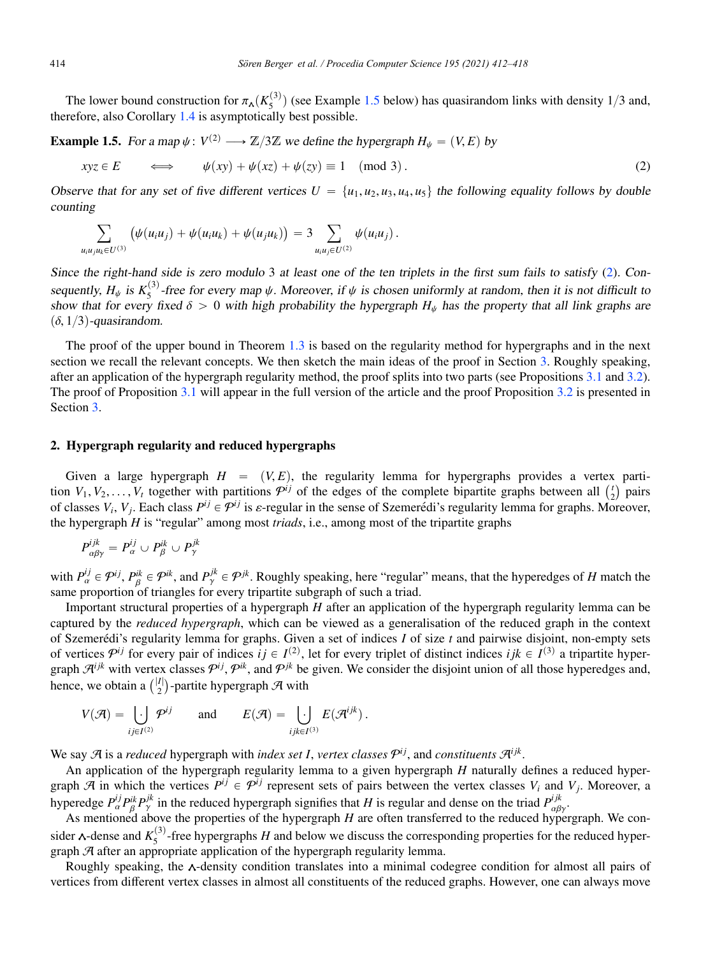The lower bound construction for  $\pi_A(K_5^{(3)})$  (see Example 1.5 below) has quasirandom links with density 1/3 and, therefore, also Corollary 1.4 is asymptotically best possible.

**Example 1.5.** *For a map*  $\psi: V^{(2)} \longrightarrow \mathbb{Z}/3\mathbb{Z}$  *we define the hypergraph*  $H_{\psi} = (V, E)$  *by* 

$$
xyz \in E \qquad \Longleftrightarrow \qquad \psi(xy) + \psi(xz) + \psi(zy) \equiv 1 \pmod{3} \,.
$$

Observe that for any set of five different vertices  $U = \{u_1, u_2, u_3, u_4, u_5\}$  the following equality follows by double *counting*

$$
\sum_{u_j u_k \in U^{(3)}} \left( \psi(u_i u_j) + \psi(u_i u_k) + \psi(u_j u_k) \right) = 3 \sum_{u_i u_j \in U^{(2)}} \psi(u_i u_j).
$$

*Since the right-hand side is zero modulo* 3 *at least one of the ten triplets in the first sum fails to satisfy* (2)*. Consequently,*  $H_{\psi}$  *is*  $K_5^{(3)}$ -free for every map  $\psi$ . Moreover, if  $\psi$  *is chosen uniformly at random, then it is not difficult to show that for every fixed*  $\delta > 0$  *with high probability the hypergraph*  $H_{\psi}$  *has the property that all link graphs are*  $(\delta, 1/3)$ -quasirandom.

The proof of the upper bound in Theorem 1.3 is based on the regularity method for hypergraphs and in the next section we recall the relevant concepts. We then sketch the main ideas of the proof in Section 3. Roughly speaking, after an application of the hypergraph regularity method, the proof splits into two parts (see Propositions 3.1 and 3.2). The proof of Proposition 3.1 will appear in the full version of the article and the proof Proposition 3.2 is presented in Section 3.

#### 2. Hypergraph regularity and reduced hypergraphs

Given a large hypergraph  $H = (V, E)$ , the regularity lemma for hypergraphs provides a vertex partition  $V_1, V_2, \ldots, V_t$  together with partitions  $\mathcal{P}^{ij}$  of the edges of the complete bipartite graphs between all  $\binom{t}{2}$  pairs of classes  $V_i$ ,  $V_j$ . Each class  $P^{ij} \in \mathcal{P}^{ij}$  is  $\varepsilon$ -regular in the sense of Szemerédi's regularity lemma for graphs. Moreover, the hypergraph *H* is "regular" among most *triads*, i.e., among most of the tripartite graphs

$$
P_{\alpha\beta\gamma}^{ijk}=P_{\alpha}^{ij}\cup P_{\beta}^{ik}\cup P_{\gamma}^{jk}
$$

with  $P_{\alpha}^{ij} \in \mathcal{P}^{ij}$ ,  $P_{\beta}^{ik} \in \mathcal{P}^{ik}$ , and  $P_{\gamma}^{jk} \in \mathcal{P}^{jk}$ . Roughly speaking, here "regular" means, that the hyperedges of *H* match the same proportion of triangles for every tripartite subgraph of such a triad.

Important structural properties of a hypergraph *H* after an application of the hypergraph regularity lemma can be captured by the *reduced hypergraph*, which can be viewed as a generalisation of the reduced graph in the context of Szemerédi's regularity lemma for graphs. Given a set of indices I of size t and pairwise disjoint, non-empty sets of vertices  $P^{ij}$  for every pair of indices  $ij \in I^{(2)}$ , let for every triplet of distinct indices  $ijk \in I^{(3)}$  a tripartite hypergraph  $\mathcal{A}^{ijk}$  with vertex classes  $\mathcal{P}^{ij}$ ,  $\mathcal{P}^{ik}$ , and  $\mathcal{P}^{jk}$  be given. We consider the disjoint union of all those hyperedges and, hence, we obtain a  $\binom{|I|}{2}$ -partite hypergraph  $\mathcal{A}$  with

$$
V(\mathcal{A}) = \bigcup_{ij \in I^{(2)}} \mathcal{P}^{ij} \quad \text{and} \quad E(\mathcal{A}) = \bigcup_{ijk \in I^{(3)}} E(\mathcal{A}^{ijk}).
$$

We say  $\mathcal{A}$  is a *reduced* hypergraph with *index set I*, *vertex classes*  $\mathcal{P}^{ij}$ , and *constituents*  $\mathcal{A}^{ijk}$ .

An application of the hypergraph regularity lemma to a given hypergraph *H* naturally defines a reduced hypergraph A in which the vertices  $P^{ij} \in \mathcal{P}^{ij}$  represent sets of pairs between the vertex classes  $V_i$  and  $V_j$ . Moreover, a hyperedge  $P_\alpha^{ij} P_\beta^{ik} P_\gamma^{jk}$  in the reduced hypergraph signifies that *H* is regular and dense on the triad  $P_{\alpha\beta\gamma}^{ijk}$ .

As mentioned above the properties of the hypergraph *H* are often transferred to the reduced hypergraph. We consider  $\lambda$ -dense and  $K_5^{(3)}$ -free hypergraphs *H* and below we discuss the corresponding properties for the reduced hypergraph  $A$  after an appropriate application of the hypergraph regularity lemma.

Roughly speaking, the  $\lambda$ -density condition translates into a minimal codegree condition for almost all pairs of vertices from different vertex classes in almost all constituents of the reduced graphs. However, one can always move

 $u_i$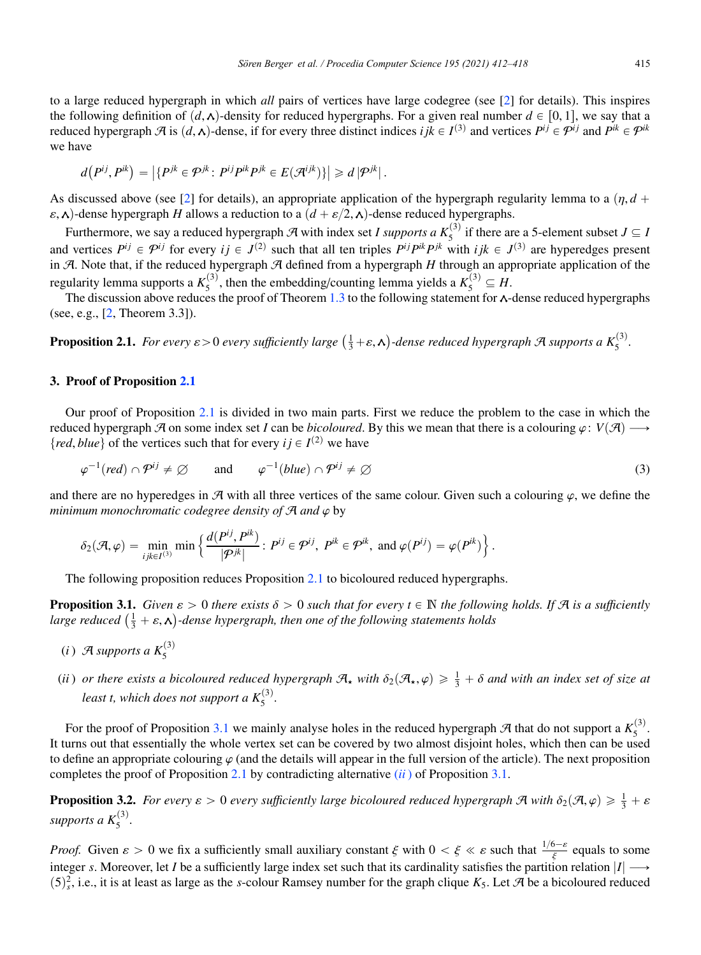to a large reduced hypergraph in which *all* pairs of vertices have large codegree (see [2] for details). This inspires the following definition of  $(d, \lambda)$ -density for reduced hypergraphs. For a given real number  $d \in [0, 1]$ , we say that a reduced hypergraph  $\mathcal{A}$  is  $(d, \Lambda)$ -dense, if for every three distinct indices  $i j k \in I^{(3)}$  and vertices  $P^{i j} \in \mathcal{P}^{i j}$  and  $P^{i k} \in \mathcal{P}^{i k}$ we have

$$
d(P^{ij}, P^{ik}) = |\{P^{jk} \in \mathcal{P}^{jk} : P^{ij}P^{ik}P^{jk} \in E(\mathcal{A}^{ijk})\}| \geq d |\mathcal{P}^{jk}|.
$$

As discussed above (see [2] for details), an appropriate application of the hypergraph regularity lemma to a  $(\eta, d +$  $\varepsilon$ ,  $\lambda$ )-dense hypergraph *H* allows a reduction to a  $(d + \varepsilon/2, \lambda)$ -dense reduced hypergraphs.

Furthermore, we say a reduced hypergraph  $\mathcal A$  with index set *I supports a*  $K_5^{(3)}$  if there are a 5-element subset  $J \subseteq I$ and vertices  $P^{ij} \in \mathcal{P}^{ij}$  for every  $ij \in J^{(2)}$  such that all ten triples  $P^{ij}P^{ik}P^{jk}$  with  $ijk \in J^{(3)}$  are hyperedges present in A. Note that, if the reduced hypergraph A defined from a hypergraph *H* through an appropriate application of the regularity lemma supports a  $K_5^{(3)}$ , then the embedding/counting lemma yields a  $K_5^{(3)} \subseteq H$ .

The discussion above reduces the proof of Theorem 1.3 to the following statement for  $\lambda$ -dense reduced hypergraphs (see, e.g., [2, Theorem 3.3]).

**Proposition 2.1.** For every  $\varepsilon > 0$  every sufficiently large  $(\frac{1}{3} + \varepsilon, \mathbf{\lambda})$ -dense reduced hypergraph A supports a  $K_5^{(3)}$ .

#### 3. Proof of Proposition 2.1

Our proof of Proposition 2.1 is divided in two main parts. First we reduce the problem to the case in which the reduced hypergraph A on some index set *I* can be *bicoloured*. By this we mean that there is a colouring  $\varphi$ :  $V(\mathcal{A}) \longrightarrow$ {*red*, *blue*} of the vertices such that for every  $i j \in I^{(2)}$  we have

$$
\varphi^{-1}(red) \cap \mathcal{P}^{ij} \neq \varnothing \quad \text{and} \quad \varphi^{-1}(blue) \cap \mathcal{P}^{ij} \neq \varnothing \tag{3}
$$

and there are no hyperedges in  $\mathcal A$  with all three vertices of the same colour. Given such a colouring  $\varphi$ , we define the *minimum monochromatic codegree density of*  $A$  *and*  $\varphi$  by

$$
\delta_2(\mathcal{A},\varphi)=\min_{ijk\in I^{(3)}}\min\left\{\frac{d(P^{ij},P^{ik})}{|\mathcal{P}^{jk}|}\colon P^{ij}\in\mathcal{P}^{ij},\ P^{ik}\in\mathcal{P}^{ik},\ \text{and}\ \varphi(P^{ij})=\varphi(P^{ik})\right\}.
$$

The following proposition reduces Proposition 2.1 to bicoloured reduced hypergraphs.

**Proposition 3.1.** *Given*  $\varepsilon > 0$  *there exists*  $\delta > 0$  *such that for every*  $t \in \mathbb{N}$  *the following holds. If*  $\mathcal{A}$  *is a sufficiently large reduced*  $(\frac{1}{3} + \varepsilon, \mathbf{A})$ -dense hypergraph, then one of the following statements holds

- $(i)$  A supports a  $K_5^{(3)}$
- (*ii*) or there exists a bicoloured reduced hypergraph  $\mathcal{A}_\star$  with  $\delta_2(\mathcal{A}_\star, \varphi) \geq \frac{1}{3} + \delta$  and with an index set of size at *least t, which does not support a*  $K_5^{(3)}$ *.*

For the proof of Proposition 3.1 we mainly analyse holes in the reduced hypergraph  $\mathcal A$  that do not support a  $K_5^{(3)}$ . It turns out that essentially the whole vertex set can be covered by two almost disjoint holes, which then can be used to define an appropriate colouring  $\varphi$  (and the details will appear in the full version of the article). The next proposition completes the proof of Proposition 2.1 by contradicting alternative (*ii* ) of Proposition 3.1.

**Proposition 3.2.** *For every*  $\varepsilon > 0$  *every sufficiently large bicoloured reduced hypergraph*  $\mathcal A$  *with*  $\delta_2(\mathcal A, \varphi) \geq \frac{1}{3} + \varepsilon$  $supports\ a\ K_{5}^{(3)}$ .

*Proof.* Given  $\varepsilon > 0$  we fix a sufficiently small auxiliary constant  $\xi$  with  $0 < \xi \ll \varepsilon$  such that  $\frac{1/6-\varepsilon}{\xi}$  equals to some integer *s*. Moreover, let *I* be a sufficiently large index set such that its cardinality satisfies the partition relation  $|I| \rightarrow$  $(5)_s^2$ , i.e., it is at least as large as the *s*-colour Ramsey number for the graph clique *K*<sub>5</sub>. Let *A* be a bicoloured reduced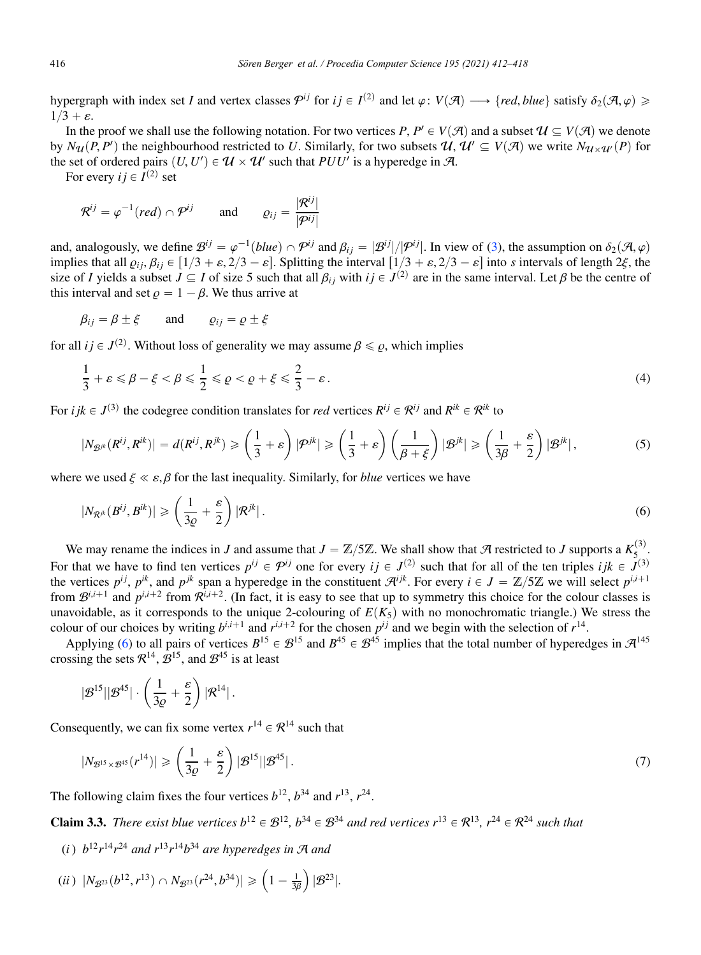hypergraph with index set *I* and vertex classes  $\mathcal{P}^{ij}$  for  $i \in I^{(2)}$  and let  $\varphi: V(\mathcal{A}) \longrightarrow \{ red, blue \}$  satisfy  $\delta_2(\mathcal{A}, \varphi) \geq$  $1/3 + \varepsilon$ .

In the proof we shall use the following notation. For two vertices *P*,  $P' \in V(\mathcal{A})$  and a subset  $\mathcal{U} \subseteq V(\mathcal{A})$  we denote by  $N_{\mathcal{U}}(P, P')$  the neighbourhood restricted to *U*. Similarly, for two subsets  $\mathcal{U}, \mathcal{U}' \subseteq V(\mathcal{A})$  we write  $N_{\mathcal{U} \times \mathcal{U}'}(P)$  for the set of ordered pairs  $(U, U') \in U \times U'$  such that  $PUU'$  is a hyperedge in A.

For every  $i j \in I^{(2)}$  set

$$
\mathcal{R}^{ij} = \varphi^{-1} (red) \cap \mathcal{P}^{ij}
$$
 and  $\varrho_{ij} = \frac{|\mathcal{R}^{ij}|}{|\mathcal{P}^{ij}|}$ 

and, analogously, we define  $\mathcal{B}^{ij} = \varphi^{-1}(blue) \cap \mathcal{P}^{ij}$  and  $\beta_{ij} = |\mathcal{B}^{ij}|/|\mathcal{P}^{ij}|$ . In view of (3), the assumption on  $\delta_2(\mathcal{A}, \varphi)$ implies that all  $\varrho_{ij}$ ,  $\beta_{ij}$   $\in$  [1/3 +  $\varepsilon$ , 2/3 –  $\varepsilon$ ]. Splitting the interval  $\left[1/3 + \varepsilon$ , 2/3 –  $\varepsilon\right]$  into *s* intervals of length 2 $\xi$ , the size of *I* yields a subset  $J \subseteq I$  of size 5 such that all  $\beta_{ij}$  with  $ij \in J^{(2)}$  are in the same interval. Let  $\beta$  be the centre of this interval and set  $\rho = 1 - \beta$ . We thus arrive at

$$
\beta_{ij} = \beta \pm \xi
$$
 and  $\varrho_{ij} = \varrho \pm \xi$ 

for all  $ij \in J^{(2)}$ . Without loss of generality we may assume  $\beta \leq \rho$ , which implies

$$
\frac{1}{3} + \varepsilon \leqslant \beta - \xi < \beta \leqslant \frac{1}{2} \leqslant \varrho < \varrho + \xi \leqslant \frac{2}{3} - \varepsilon. \tag{4}
$$

For *i* j $k \in J^{(3)}$  the codegree condition translates for *red* vertices  $R^{ij} \in \mathcal{R}^{ij}$  and  $R^{ik} \in \mathcal{R}^{ik}$  to

$$
|N_{\mathcal{B}^{jk}}(R^{ij},R^{ik})| = d(R^{ij},R^{jk}) \geq \left(\frac{1}{3} + \varepsilon\right)|\mathcal{P}^{jk}| \geq \left(\frac{1}{3} + \varepsilon\right)\left(\frac{1}{\beta + \xi}\right)|\mathcal{B}^{jk}| \geq \left(\frac{1}{3\beta} + \frac{\varepsilon}{2}\right)|\mathcal{B}^{jk}|,
$$
(5)

where we used  $\xi \ll \varepsilon$ ,  $\beta$  for the last inequality. Similarly, for *blue* vertices we have

$$
|N_{\mathcal{R}^{jk}}(B^{ij},B^{ik})| \geqslant \left(\frac{1}{3\varrho}+\frac{\varepsilon}{2}\right)|\mathcal{R}^{jk}|.
$$
\n
$$
(6)
$$

We may rename the indices in *J* and assume that  $J = \mathbb{Z}/5\mathbb{Z}$ . We shall show that  $\mathcal A$  restricted to *J* supports a  $K_5^{(3)}$ . For that we have to find ten vertices  $p^{ij} \in \mathcal{P}^{ij}$  one for every  $ij \in J^{(2)}$  such that for all of the ten triples  $ijk \in J^{(3)}$ the vertices  $p^{ij}$ ,  $p^{ik}$ , and  $p^{jk}$  span a hyperedge in the constituent  $\mathcal{A}^{ijk}$ . For every  $i \in J = \mathbb{Z}/5\mathbb{Z}$  we will select  $p^{i,i+1}$ from  $\mathcal{B}^{i,i+1}$  and  $p^{i,i+2}$  from  $\mathcal{R}^{i,i+2}$ . (In fact, it is easy to see that up to symmetry this choice for the colour classes is unavoidable, as it corresponds to the unique 2-colouring of  $E(K_5)$  with no monochromatic triangle.) We stress the colour of our choices by writing  $b^{i,i+1}$  and  $r^{i,i+2}$  for the chosen  $p^{i,j}$  and we begin with the selection of  $r^{14}$ .

Applying (6) to all pairs of vertices  $B^{15} \in \mathcal{B}^{15}$  and  $B^{45} \in \mathcal{B}^{45}$  implies that the total number of hyperedges in  $\mathcal{A}^{145}$ crossing the sets  $\mathcal{R}^{14}$ ,  $\mathcal{B}^{15}$ , and  $\mathcal{B}^{45}$  is at least

$$
|\mathcal{B}^{15}||\mathcal{B}^{45}|\cdot\left(\frac{1}{3\varrho}+\frac{\varepsilon}{2}\right)|\mathcal{R}^{14}|\,.
$$

Consequently, we can fix some vertex  $r^{14} \in \mathcal{R}^{14}$  such that

$$
|N_{\mathcal{B}^{15}\times\mathcal{B}^{45}}(r^{14})| \geqslant \left(\frac{1}{3\varrho}+\frac{\varepsilon}{2}\right)|\mathcal{B}^{15}||\mathcal{B}^{45}|.
$$
\n
$$
(7)
$$

The following claim fixes the four vertices  $b^{12}$ ,  $b^{34}$  and  $r^{13}$ ,  $r^{24}$ .

**Claim 3.3.** *There exist blue vertices*  $b^{12} \in \mathcal{B}^{12}$ ,  $b^{34} \in \mathcal{B}^{34}$  *and red vertices*  $r^{13} \in \mathcal{R}^{13}$ ,  $r^{24} \in \mathcal{R}^{24}$  *such that* 

(*i*)  $b^{12}r^{14}r^{24}$  *and*  $r^{13}r^{14}b^{34}$  *are hyperedges in*  $\mathcal{A}$  *and* 

(*ii*) 
$$
|N_{\mathcal{B}^{23}}(b^{12}, r^{13}) \cap N_{\mathcal{B}^{23}}(r^{24}, b^{34})| \geq (1 - \frac{1}{3\beta}) |\mathcal{B}^{23}|.
$$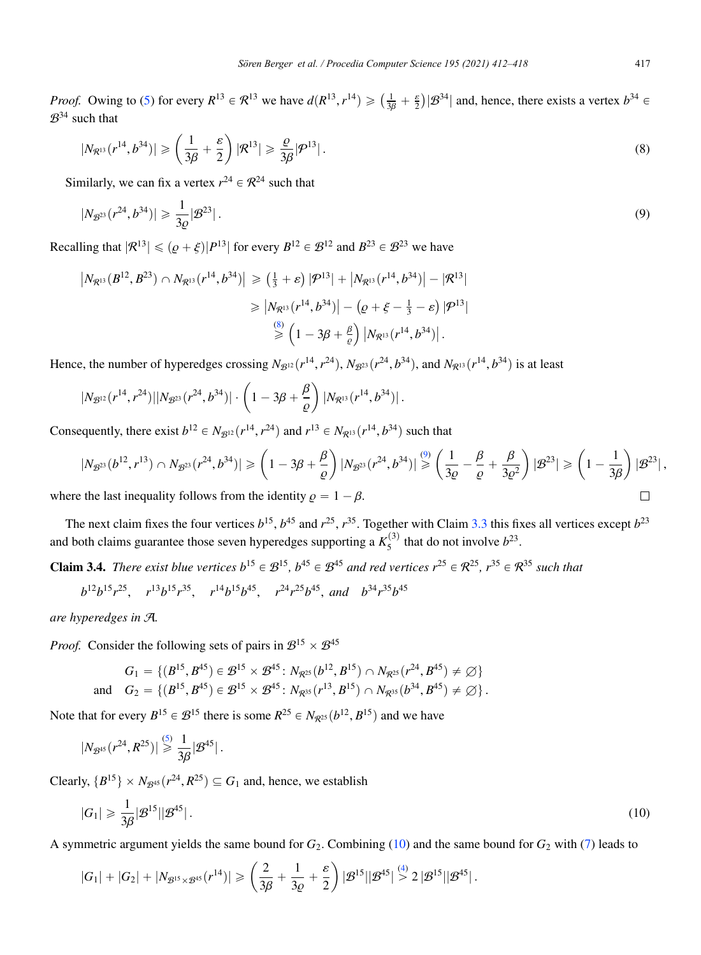*Proof.* Owing to (5) for every  $R^{13} \in \mathcal{R}^{13}$  we have  $d(R^{13}, r^{14}) \geq (\frac{1}{3\beta} + \frac{\varepsilon}{2}) |\mathcal{B}^{34}|$  and, hence, there exists a vertex  $b^{34} \in$  $\mathcal{B}^{34}$  such that

$$
|N_{\mathcal{R}^{13}}(r^{14},b^{34})| \geqslant \left(\frac{1}{3\beta}+\frac{\varepsilon}{2}\right)|\mathcal{R}^{13}| \geqslant \frac{\varrho}{3\beta}|\mathcal{P}^{13}|.
$$
\n
$$
(8)
$$

Similarly, we can fix a vertex  $r^{24} \in \mathcal{R}^{24}$  such that

$$
|N_{\mathcal{B}^{23}}(r^{24},b^{34})| \geq \frac{1}{3\varrho}|\mathcal{B}^{23}|.
$$
 (9)

Recalling that  $|R^{13}| \leq (p+\xi)|P^{13}|$  for every  $B^{12} \in \mathcal{B}^{12}$  and  $B^{23} \in \mathcal{B}^{23}$  we have

$$
\begin{aligned} \left| N_{\mathcal{R}^{13}}(B^{12},B^{23}) \cap N_{\mathcal{R}^{13}}(r^{14},b^{34}) \right| &\geq \left( \frac{1}{3} + \varepsilon \right) |\mathcal{P}^{13}| + \left| N_{\mathcal{R}^{13}}(r^{14},b^{34}) \right| - |\mathcal{R}^{13}| \\ &\geq \left| N_{\mathcal{R}^{13}}(r^{14},b^{34}) \right| - \left( \varrho + \xi - \frac{1}{3} - \varepsilon \right) |\mathcal{P}^{13}| \\ &\geqslant \left( 1 - 3\beta + \frac{\beta}{\varrho} \right) \left| N_{\mathcal{R}^{13}}(r^{14},b^{34}) \right| . \end{aligned}
$$

Hence, the number of hyperedges crossing  $N_{\mathcal{B}^{12}}(r^{14}, r^{24})$ ,  $N_{\mathcal{B}^{23}}(r^{24}, b^{34})$ , and  $N_{\mathcal{R}^{13}}(r^{14}, b^{34})$  is at least

$$
|N_{\mathcal{B}^{12}}(r^{14},r^{24})||N_{\mathcal{B}^{23}}(r^{24},b^{34})|\cdot\left(1-3\beta+\frac{\beta}{\varrho}\right)|N_{\mathcal{R}^{13}}(r^{14},b^{34})|.
$$

Consequently, there exist  $b^{12} \in N_{\mathcal{B}^{12}}(r^{14}, r^{24})$  and  $r^{13} \in N_{\mathcal{R}^{13}}(r^{14}, b^{34})$  such that

$$
|N_{\mathcal{B}^{23}}(b^{12},r^{13}) \cap N_{\mathcal{B}^{23}}(r^{24},b^{34})| \ge \left(1 - 3\beta + \frac{\beta}{\varrho}\right)|N_{\mathcal{B}^{23}}(r^{24},b^{34})| \stackrel{(9)}{\ge} \left(\frac{1}{3\varrho} - \frac{\beta}{\varrho} + \frac{\beta}{3\varrho^2}\right)|\mathcal{B}^{23}| \ge \left(1 - \frac{1}{3\beta}\right)|\mathcal{B}^{23}|,
$$
  
the last inequality follows from the identity  $\varrho = 1 - \beta$ .

where the last inequality follows from the identity  $\rho = 1 - \beta$ .

The next claim fixes the four vertices  $b^{15}$ ,  $b^{45}$  and  $r^{25}$ ,  $r^{35}$ . Together with Claim 3.3 this fixes all vertices except  $b^{23}$ and both claims guarantee those seven hyperedges supporting a  $K_5^{(3)}$  that do not involve  $b^{23}$ .

**Claim 3.4.** *There exist blue vertices*  $b^{15} \in \mathcal{B}^{15}$ ,  $b^{45} \in \mathcal{B}^{45}$  *and red vertices*  $r^{25} \in \mathcal{R}^{25}$ ,  $r^{35} \in \mathcal{R}^{35}$  *such that* 

$$
b^{12}b^{15}r^{25}
$$
,  $r^{13}b^{15}r^{35}$ ,  $r^{14}b^{15}b^{45}$ ,  $r^{24}r^{25}b^{45}$ , and  $b^{34}r^{35}b^{45}$ 

*are hyperedges in* A*.*

*Proof.* Consider the following sets of pairs in  $\mathcal{B}^{15} \times \mathcal{B}^{45}$ 

$$
G_1 = \{ (B^{15}, B^{45}) \in \mathcal{B}^{15} \times \mathcal{B}^{45} : N_{\mathcal{R}^{25}}(b^{12}, B^{15}) \cap N_{\mathcal{R}^{25}}(r^{24}, B^{45}) \neq \emptyset \}
$$
  
and 
$$
G_2 = \{ (B^{15}, B^{45}) \in \mathcal{B}^{15} \times \mathcal{B}^{45} : N_{\mathcal{R}^{35}}(r^{13}, B^{15}) \cap N_{\mathcal{R}^{35}}(b^{34}, B^{45}) \neq \emptyset \}.
$$

Note that for every  $B^{15} \in \mathcal{B}^{15}$  there is some  $R^{25} \in N_{\mathcal{R}^{25}}(b^{12}, B^{15})$  and we have

$$
|N_{\mathcal{B}^{45}}(r^{24}, R^{25})| \overset{(5)}{\geq} \frac{1}{3\beta}|\mathcal{B}^{45}|.
$$

Clearly,  $\{B^{15}\}\times N_{\mathcal{B}^{45}}(r^{24}, R^{25})\subseteq G_1$  and, hence, we establish

$$
|G_1| \geqslant \frac{1}{3\beta} |\mathcal{B}^{15}| |\mathcal{B}^{45}| \,. \tag{10}
$$

A symmetric argument yields the same bound for *G*2. Combining (10) and the same bound for *G*<sup>2</sup> with (7) leads to

$$
|G_1|+|G_2|+|N_{\mathcal{B}^{15}\times\mathcal{B}^{45}}(r^{14})|\geqslant \left(\frac{2}{3\beta}+\frac{1}{3\varrho}+\frac{\varepsilon}{2}\right)|\mathcal{B}^{15}||\mathcal{B}^{45}| \overset{(4)}{>} 2\,|\mathcal{B}^{15}||\mathcal{B}^{45}|\,.
$$